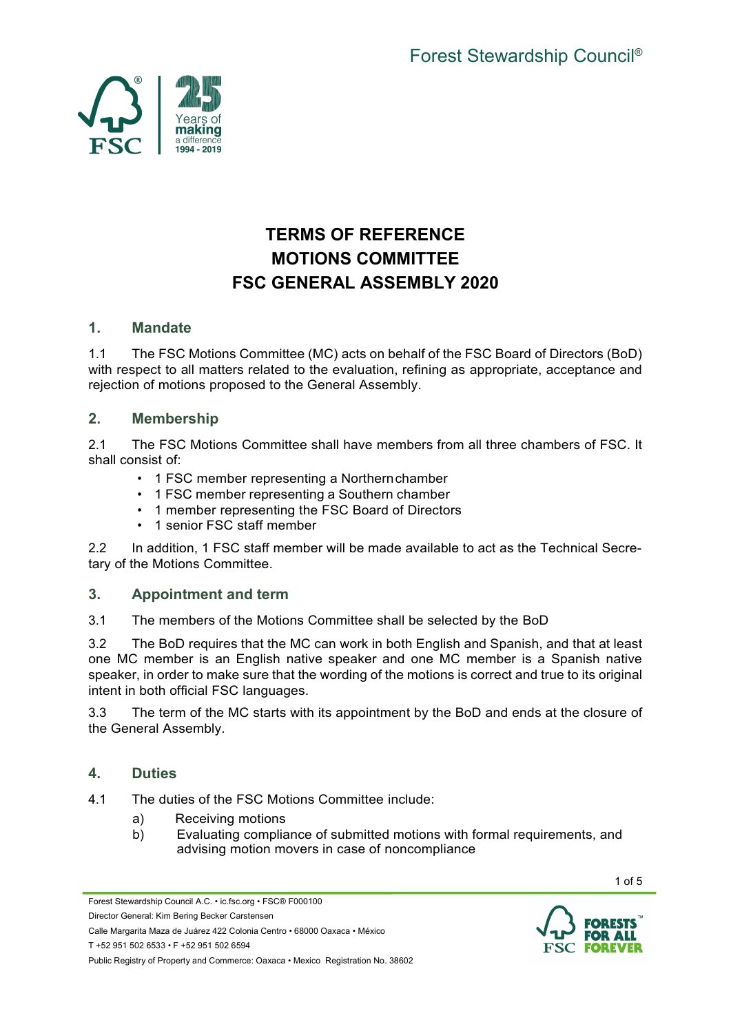

# **TERMS OF REFERENCE MOTIONS COMMITTEE FSC GENERAL ASSEMBLY 2020**

## **1. Mandate**

1.1 The FSC Motions Committee (MC) acts on behalf of the FSC Board of Directors (BoD) with respect to all matters related to the evaluation, refining as appropriate, acceptance and rejection of motions proposed to the General Assembly.

## **2. Membership**

2.1 The FSC Motions Committee shall have members from all three chambers of FSC. It shall consist of:

- 1 FSC member representing a Northernchamber
- 1 FSC member representing a Southern chamber
- 1 member representing the FSC Board of Directors
- 1 senior FSC staff member

2.2 In addition, 1 FSC staff member will be made available to act as the Technical Secretary of the Motions Committee.

## **3. Appointment and term**

3.1 The members of the Motions Committee shall be selected by the BoD

3.2 The BoD requires that the MC can work in both English and Spanish, and that at least one MC member is an English native speaker and one MC member is a Spanish native speaker, in order to make sure that the wording of the motions is correct and true to its original intent in both official FSC languages.

3.3 The term of the MC starts with its appointment by the BoD and ends at the closure of the General Assembly.

#### **4. Duties**

- 4.1 The duties of the FSC Motions Committee include:
	- a) Receiving motions
	- b) Evaluating compliance of submitted motions with formal requirements, and advising motion movers in case of noncompliance

Forest Stewardship Council A.C. • ic.fsc.org • FSC® F000100

Director General: Kim Bering Becker Carstensen

Calle Margarita Maza de Juárez 422 Colonia Centro • 68000 Oaxaca • México

T +52 951 502 6533 • F +52 951 502 6594



1 of 5

Public Registry of Property and Commerce: Oaxaca • Mexico Registration No. 38602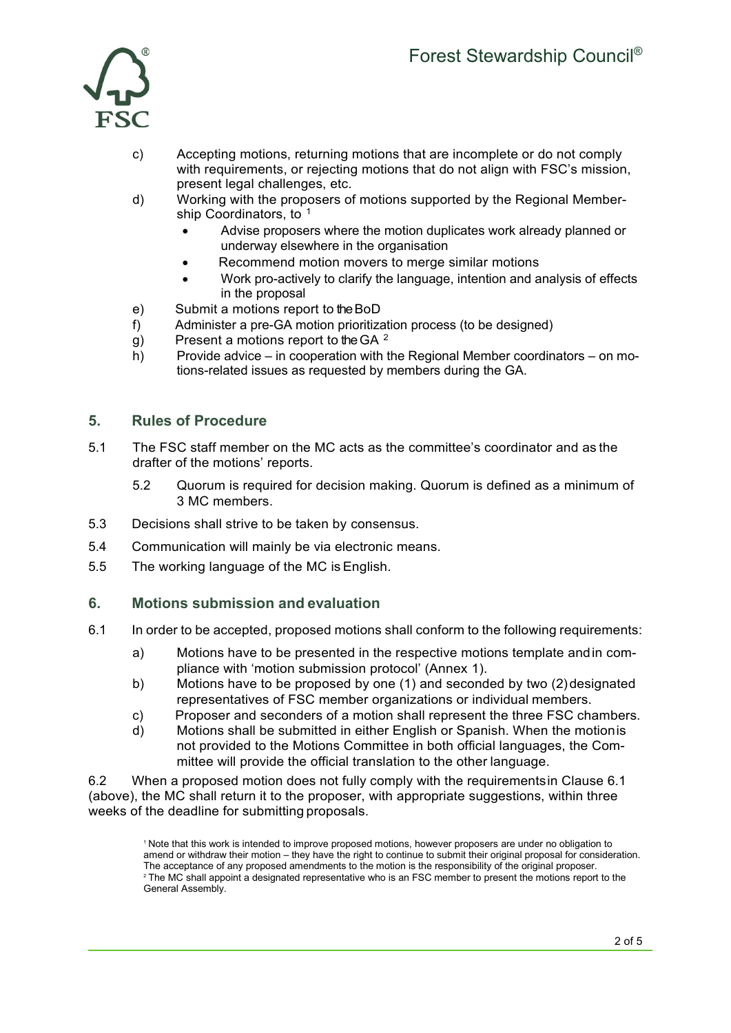

- c) Accepting motions, returning motions that are incomplete or do not comply with requirements, or rejecting motions that do not align with FSC's mission, present legal challenges, etc.
- d) Working with the proposers of motions supported by the Regional Member-ship Coordinators, to <sup>[1](#page-1-0)</sup>
	- Advise proposers where the motion duplicates work already planned or underway elsewhere in the organisation
	- Recommend motion movers to merge similar motions
	- Work pro-actively to clarify the language, intention and analysis of effects in the proposal
- e) Submit a motions report to the BoD
- f) Administer a pre-GA motion prioritization process (to be designed)
- g) Present a motions report to the GA  $^2$  $^2$
- h) Provide advice in cooperation with the Regional Member coordinators on motions-related issues as requested by members during the GA.

## **5. Rules of Procedure**

- 5.1 The FSC staff member on the MC acts as the committee's coordinator and as the drafter of the motions' reports.
	- 5.2 Quorum is required for decision making. Quorum is defined as a minimum of 3 MC members.
- 5.3 Decisions shall strive to be taken by consensus.
- 5.4 Communication will mainly be via electronic means.
- 5.5 The working language of the MC is English.

#### **6. Motions submission and evaluation**

- 6.1 In order to be accepted, proposed motions shall conform to the following requirements:
	- a) Motions have to be presented in the respective motions template andin compliance with 'motion submission protocol' (Annex 1).
	- b) Motions have to be proposed by one (1) and seconded by two (2)designated representatives of FSC member organizations or individual members.
	- c) Proposer and seconders of a motion shall represent the three FSC chambers.
	- d) Motions shall be submitted in either English or Spanish. When the motionis not provided to the Motions Committee in both official languages, the Committee will provide the official translation to the other language.

<span id="page-1-1"></span><span id="page-1-0"></span>6.2 When a proposed motion does not fully comply with the requirementsin Clause 6.1 (above), the MC shall return it to the proposer, with appropriate suggestions, within three weeks of the deadline for submitting proposals.

<sup>1</sup> Note that this work is intended to improve proposed motions, however proposers are under no obligation to amend or withdraw their motion – they have the right to continue to submit their original proposal for consideration. The acceptance of any proposed amendments to the motion is the responsibility of the original proposer. <sup>2</sup> The MC shall appoint a designated representative who is an FSC member to present the motions report to the General Assembly.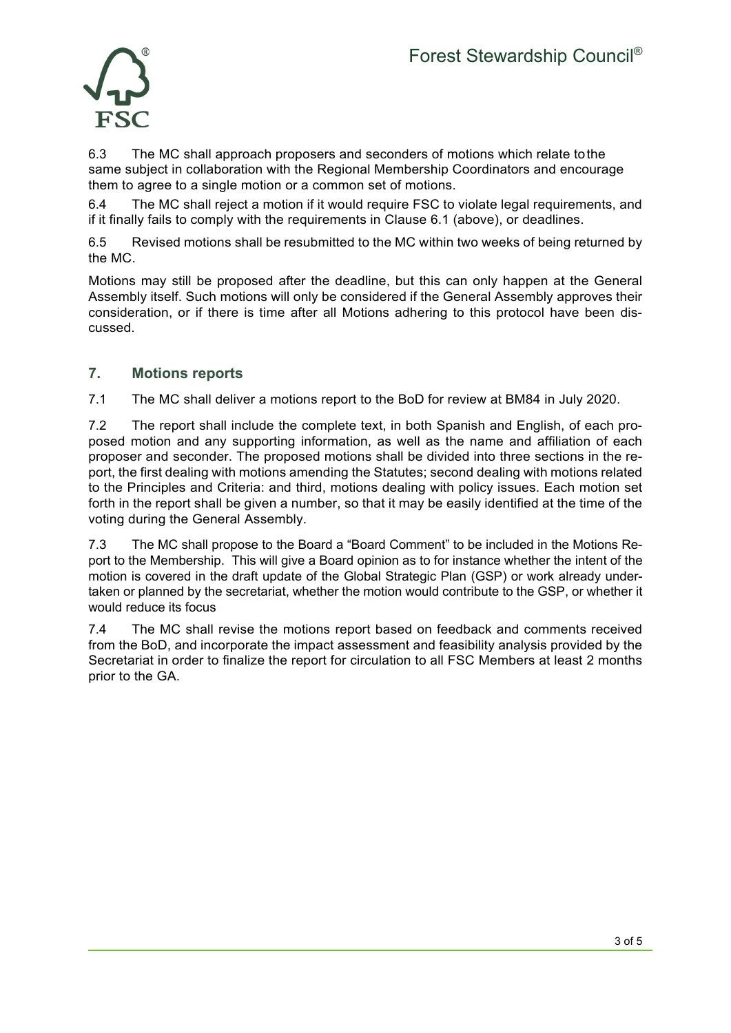

6.3 The MC shall approach proposers and seconders of motions which relate tothe same subject in collaboration with the Regional Membership Coordinators and encourage them to agree to a single motion or a common set of motions.

6.4 The MC shall reject a motion if it would require FSC to violate legal requirements, and if it finally fails to comply with the requirements in Clause 6.1 (above), or deadlines.

6.5 Revised motions shall be resubmitted to the MC within two weeks of being returned by the MC.

Motions may still be proposed after the deadline, but this can only happen at the General Assembly itself. Such motions will only be considered if the General Assembly approves their consideration, or if there is time after all Motions adhering to this protocol have been discussed.

## **7. Motions reports**

7.1 The MC shall deliver a motions report to the BoD for review at BM84 in July 2020.

7.2 The report shall include the complete text, in both Spanish and English, of each proposed motion and any supporting information, as well as the name and affiliation of each proposer and seconder. The proposed motions shall be divided into three sections in the report, the first dealing with motions amending the Statutes; second dealing with motions related to the Principles and Criteria: and third, motions dealing with policy issues. Each motion set forth in the report shall be given a number, so that it may be easily identified at the time of the voting during the General Assembly.

7.3 The MC shall propose to the Board a "Board Comment" to be included in the Motions Report to the Membership. This will give a Board opinion as to for instance whether the intent of the motion is covered in the draft update of the Global Strategic Plan (GSP) or work already undertaken or planned by the secretariat, whether the motion would contribute to the GSP, or whether it would reduce its focus

7.4 The MC shall revise the motions report based on feedback and comments received from the BoD, and incorporate the impact assessment and feasibility analysis provided by the Secretariat in order to finalize the report for circulation to all FSC Members at least 2 months prior to the GA.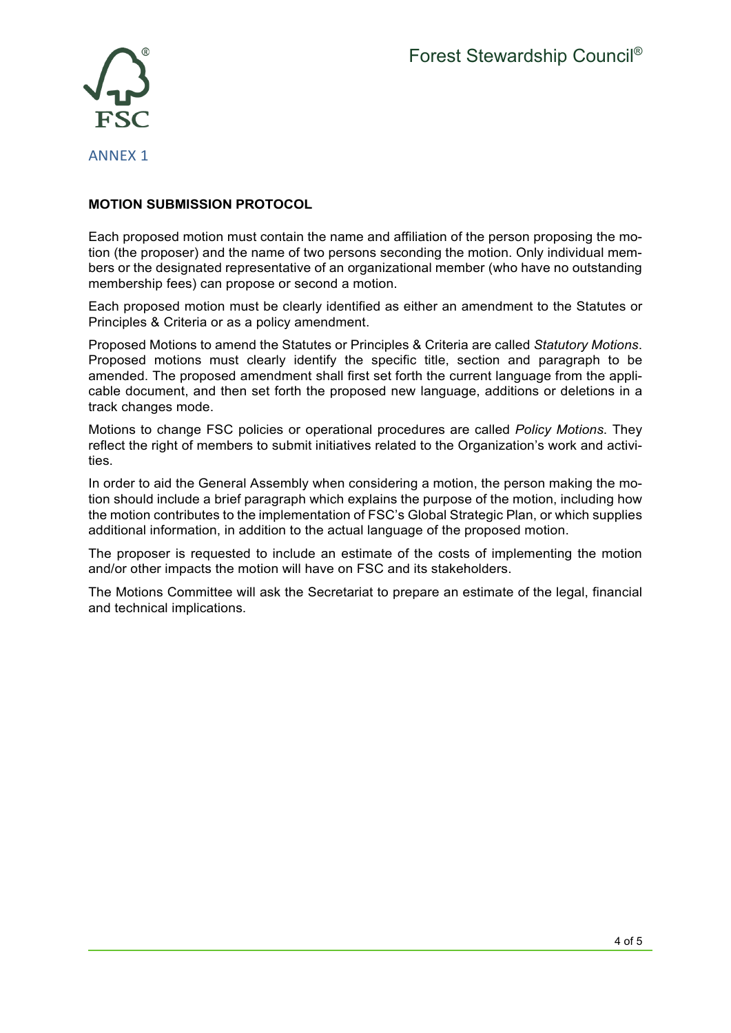

## ANNEX 1

#### **MOTION SUBMISSION PROTOCOL**

Each proposed motion must contain the name and affiliation of the person proposing the motion (the proposer) and the name of two persons seconding the motion. Only individual members or the designated representative of an organizational member (who have no outstanding membership fees) can propose or second a motion.

Each proposed motion must be clearly identified as either an amendment to the Statutes or Principles & Criteria or as a policy amendment.

Proposed Motions to amend the Statutes or Principles & Criteria are called *Statutory Motions*. Proposed motions must clearly identify the specific title, section and paragraph to be amended. The proposed amendment shall first set forth the current language from the applicable document, and then set forth the proposed new language, additions or deletions in a track changes mode.

Motions to change FSC policies or operational procedures are called *Policy Motions*. They reflect the right of members to submit initiatives related to the Organization's work and activities.

In order to aid the General Assembly when considering a motion, the person making the motion should include a brief paragraph which explains the purpose of the motion, including how the motion contributes to the implementation of FSC's Global Strategic Plan, or which supplies additional information, in addition to the actual language of the proposed motion.

The proposer is requested to include an estimate of the costs of implementing the motion and/or other impacts the motion will have on FSC and its stakeholders.

The Motions Committee will ask the Secretariat to prepare an estimate of the legal, financial and technical implications.